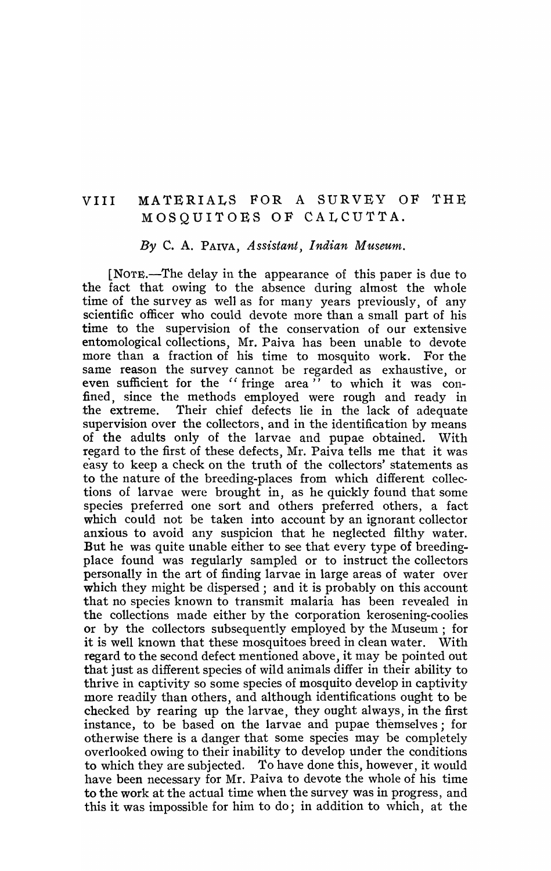## VIII MATERIALS FOR A SURVEY OF THE MOSQUITOES OF CALCUTTA.

## *By* C. A. PAIVA, *Assistant, Indian Museum.*

[NOTE.-The delay in the appearance of this paper is due to the fact that owing to the absence during almost the whole time of the survey as well as for many years previously, of any scientific officer who could devote more than a small part of his time to the supervision of the conservation of our extensive entomological collections, Mr. Paiva has been unable to devote more than a fraction of his time to mosquito work. For the same reason the survey cannot be regarded as exhaustive, or even sufficient for the "fringe area" to which it was confined, since the methods employed were rough and ready in the extreme. Their chief defects lie in the lack of adequate supervision over the collectors, and in the identification by means of the adults only of the larvae and pupae obtained. With regard to the first of these defects, Mr. Paiva tells me that it was easy to keep a check on the truth of the collectors' statements as to the nature of the breeding-places from which different collections of larvae were brought in, as he quickly found that some species preferred one sort and others preferred others, a fact which could not be taken into account by an ignorant collector anxious to avoid any suspicion that he neglected filthy water. But he was quite unable either to see that every type of breedingplace found was regularly sampled or to instruct the collectors personally in the art of finding larvae in large areas of water over which they might be dispersed; and it is probably on this account that no species known to transmit malaria has been revealed in the collections made either by the corporation kerosening-coolies or by the collectors subsequently employed by the Museum; for it is well known that these mosquitoes breed in clean water. With regard to the second defect mentioned above, it may be pointed out that just as different species of wild animals differ in their ability to thrive in captivity so some species of mosquito develop in captivity more readily than others, and although identifications ought to be checked by rearing up the larvae, they ought always, in the first instance, to be based on the larvae and pupae themselves; for otherwise there is a danger that some species may be completely overlooked owing to their inability to develop under the conditions to which they are subjected. To have done this, however, it would have been necessary for Mr. Paiva to devote the whole of his time to the work at the actual time when the survey was in progress, and this it was impossible for him to do; in addition to which, at the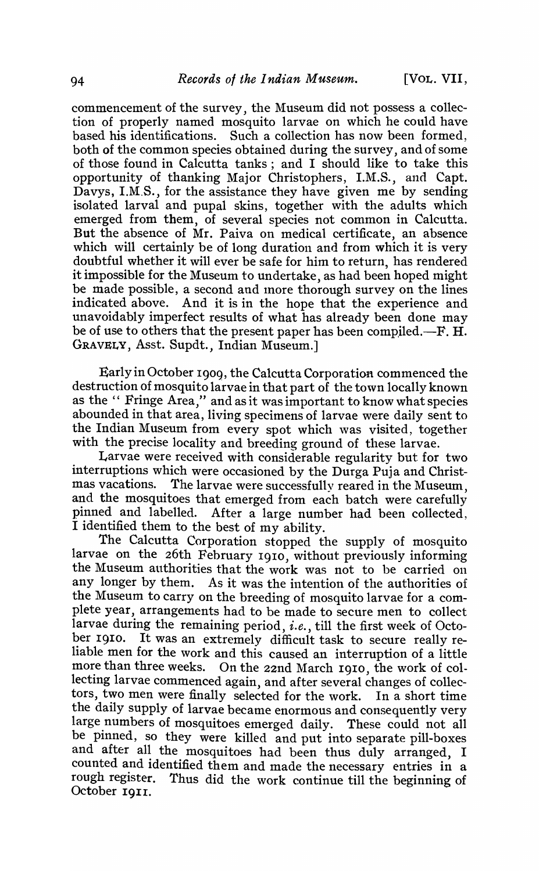commencement of the survey, the Museum did not possess a collection of properly named mosquito larvae on which he could have based his identifications. Such a collection has now been formed, both of the common species obtained during the survey, and of some of those found in Calcutta tanks; and I should like to take this opportunity of thanking Major Christophers, I.M.S., and Capt. Davys, I.M.S., for the assistance they have given me by sending isolated larval and pupal skins, together with the adults which emerged from them, of several species not common in Calcutta. But the absence of Mr. Paiva on medical certificate, an absence which will certainly be of long duration and from which it is very doubtful whether it will ever be safe for him to return, has rendered it impossible for the Museum to undertake, as had been hoped might be made possible, a second and more thorough survey on the lines<br>indicated above. And it is in the hope that the experience and And it is in the hope that the experience and unavoidably imperfect results of what has already been done may be of use to others that the present paper has been compiled.-F. H. GRAVELY, Asst. Supdt., Indian Museum.]

Early in October 1909, the Calcutta Corporation commenced the destruction of mosquito larvae in that part of the town locally known as the " Fringe Area," and as it was important to know what species abounded in that area, living specimens of larvae were daily sent to the Indian Museum from every spot which was visited, together with the precise locality and breeding ground of these larvae.

Larvae were received with considerable regularity but for two interruptions which were occasioned by the Durga Puja and Christmas vacations. The larvae were successfully reared in the Museum, and the mosquitoes that emerged from each batch were carefully pinned and labelled. After a large number had been collected, I identified them to the best of my ability.

The Calcutta Corporation stopped the supply of mosquito larvae on the 26th February 1910, without previously informing the Museum authorities that the work was not to be carried on any longer by them. As it was the intention of the authorities of the Museum to carry on the breeding of mosquito larvae for a complete year, arrangements had to be made to secure men to collect larvae during the remaining period, *i.e.,* till the first week of October 1910. It was an extremely difficult task to secure really reliable men for the work and this caused an interruption of a little more than three weeks. On the 22nd March 1910, the work of collecting larvae commenced again, and after several changes of collectors, two men were finally selected for the work. In a short time the daily supply of larvae became enormous and consequently very large numbers of mosquitoes emerged daily. These could not all be pinned, so they were killed and put into separate pill-boxes and after all the mosquitoes had been thus duly arranged, I counted and identified them and made the necessary entries in a rough register. Thus did the work continue till the beginning of October 1911.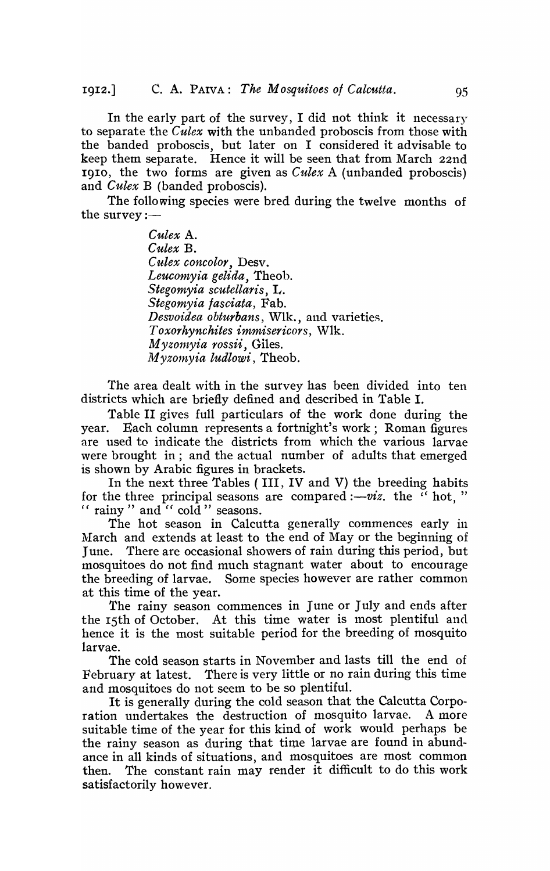In the early part of the survey, I did not think it necessary to separate the *Culex* with the unbanded proboscis from those with the banded proboscis, but later on I considered it advisable to keep them separate. Hence it will be seen that from March 22nd 1910, the two forms are given as *Culex* A (unhanded proboscis) and *Culex* B (banded proboscis).

The following species were bred during the twelve months of the survey  $:=$ 

> *Culex* A. *Culex* B. *Culex concolor,* Desv. *Leucomyia gelida,* Theoh. *Stegomyia scutellaris,* L. *Stegomyia fasciata,* Fab. *Desvoidea obturbans,* Wlk., and varieties. *Toxorhynchites immisericors,* Wlk. *M yzol1zyia rossii,* Giles. *Myzo1nyia ludlowi,* Theob.

The area dealt with in the survey has been divided into ten districts which are briefly defined and described in Table I.

Table II gives full particulars of the work done during the year. Each column represents a fortnight's work; Roman figures are used to indicate the districts from which the various larvae were brought in; and the actual number of adults that emerged is shown by Arabic figures in brackets.

In the next three Tables ( III, IV and V) the breeding habits for the three principal seasons are compared  $: -\overline{viz}$ , the  $\overline{y}$  hot, " " rainy" and " $\operatorname{cold}$ " seasons.

The hot season in Calcutta generally commences early in March and extends at least to the end of May or the beginning of June. There are occasional showers of rain during this period, but mosquitoes do not find much stagnant water about to encourage the breeding of larvae. Some species however are rather common at this time of the year.

The rainy season commences in June or July and ends after the 15th of October. At this time water is most plentiful and hence it is the most suitable period for the breeding of mosquito larvae.

The cold season starts in November and lasts till the end of February at latest. There is very little or no rain during this time and mosquitoes do not seem to be so plentiful.

It is generally during the cold season that the Calcutta Corpo-<br>in undertakes, the destruction of mosquito larvae. A more ration undertakes the destruction of mosquito larvae. suitable time of the year for this kind of work would perhaps be the rainy season as during that time larvae are found in abundance in all kinds of situations, and mosquitoes are most common then. The constant rain may render it difficult to do this work satisfactorily however.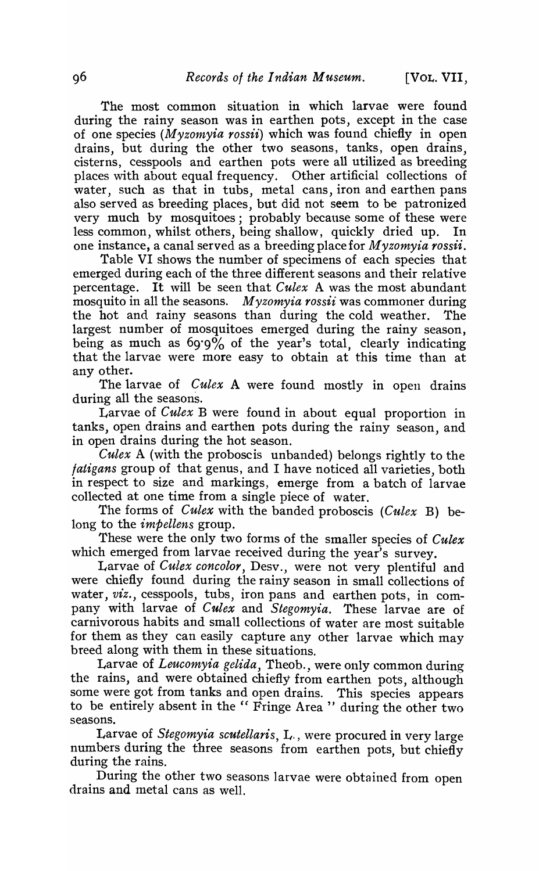The most common situation in which larvae were found during the rainy season was in earthen pots, except in the case of one species *(M yz01nyia rossii)* which was found chiefly in open drains, but during the other two seasons, tanks, open drains, cistern's, cesspools and earthen pots were all utilized as breeding places with about equal frequency. Other artificial collections of water, such as that in tubs, metal cans, iron and earthen pans also served as breeding places, but did not seem to be patronized very much by mosquitoes; probably because some of these were less common, whilst others, being shallow, quickly dried up. In one instance, a canal served as a breeding place for *M yzomyia rossii.* 

Table VI shows the number of specimens of each species that emerged during each of the three different seasons and their relative percentage. It will be seen that *Culex* A was the most abundant mosquito in all the seasons. *Myzomyia rossii* was commoner during the hot and rainy seasons than during the cold weather. The largest number of mosquitoes emerged during the rainy season, being as much as 69·9% of the year's total, clearly indicating that the larvae were more easy to obtain at this time than at any other.

The larvae of *Culex* A were found mostly in open drains during all the seasons.

Larvae of *Culex* B were found in about equal proportion in tanks, open drains and earthen pots during the rainy season, and in open drains during the hot season.

*Culex* A (with the proboscis unbanded) belongs rightly to the *jatigans* group of that genus, and I have noticed all varieties, both in respect to size and markings, emerge from a batch of larvae collected at one time from a single piece of water.

The forms of *Culex* with the banded proboscis *(Culex B)* belong to the *impellens* group.

These were the only two forms of the smaller species of *Culex* which emerged from larvae received during the year's survey.

Larvae of *Culex concolor,* Desv., were not very plentiful and were chiefly found during the rainy season in small collections of water, *viz.*, cesspools, tubs, iron pans and earthen pots, in company with larvae of *Culex* and *Stegomyia.* These larvae are of carnivorous habits and small collections of water are most suitable for them as they can easily capture any other larvae which may breed along with them in these situations.

Larvae of *Leucomyia gelida,* Theob., were only common during the rains, and were obtained chiefly from earthen pots, although some were got from tanks and open drains. This species appears to be entirely absent in the " Fringe Area " during the other two seasons.

Larvae of *Stegomyia scutellaris*, L., were procured in very large numbers during the three seasons from earthen pots, but chiefly during the rains.

During the other two seasons larvae were obtained from open drains and metal cans as well.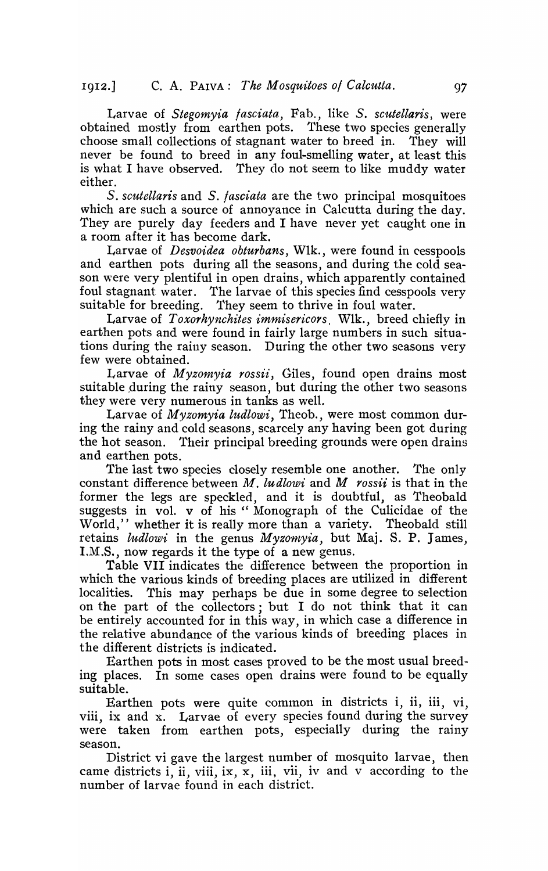Larvae of *Stegomyia jasciata,* Fab., like *S. scutellaris,* were obtained mostly from earthen pots. These two species generally choose small collections of stagnant water to breed in. They will never be found to breed in any foul-smelling water, at least this is what I have observed. They do not seem to like muddy water either.

*S. scuteUaris* and *S. fasciata* are the t.wo principal mosquitoes which are such a source of annoyance in Calcutta during the day. They are purely day feeders and I have never yet caught one in a room after it has become dark.

Larvae of *Desvoidea obturbans,* Wlk., were found in cesspools and earthen pots during all the seasons, and during the cold season were very plentiful in open drains, which apparently contained foul stagnant water. The larvae of this species find cesspools very suitable for breeding. They seem to thrive in foul water.

Larvae of *Toxorhynchites immisericors.* Wlk., breed chiefly in earthen pots and were found in fairly large numbers in such situations during the rainy season. During the other two seasons very few were obtained.

Larvae of *M yzomyia rossii,* Giles, found open drains most suitable during the rainy season, but during the other two seasons they were very numerous in tanks as well.

Larvae of *Myzomyia ludlowi,* Theob., were most common during the rainy and cold seasons, scarcely any having been got during the hot season. Their principal breeding grounds were open drains and earthen pots.

The last two species closely resemble one another. The only constant difference between *M. ludlowi* and *M rossii* is that in the former the legs are speckled, and it is doubtful, as Theobald suggests in vol. v of his " Monograph of the Culicidae of the World," whether it is really more than a variety. Theobald still retains *ludlowi* in the genus *Myzomyia*, but Maj. S. P. James, I.M.S., now regards it the type of a new genus.

Table VII indicates the difference between the proportion in which the various kinds of breeding places are utilized in different localities. This may perhaps be due in some degree to selection on the part of the collectors; but I do not think that it can be entirely accounted for in this way, in which case a difference in the relative abundance of the various kinds of breeding places in the different districts is indicated.

Earthen pots in most cases proved to be the most usual breeding places. In some cases open drains were found to be equally suitable.

Earthen pots were quite common in districts i, ii, iii, vi, viii, ix and x. Larvae of every species found during the survey were taken from earthen pots, especially during the rainy season.

District vi gave the largest number of mosquito larvae, then came districts  $i$ , ii, viii, ix,  $\bar{x}$ , iii, vii, iv and  $\bar{v}$  according to the number of larvae found in each district.